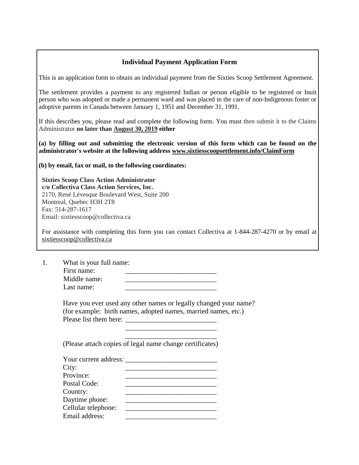### **Individual Payment Application Form**

This is an application form to obtain an individual payment from the Sixties Scoop Settlement Agreement.

The settlement provides a payment to any registered Indian or person eligible to be registered or Inuit person who was adopted or made a permanent ward and was placed in the care of non-Indigenous foster or adoptive parents in Canada between January 1, 1951 and December 31, 1991.

If this describes you, please read and complete the following form. You must then submit it to the Claims Administrator **no later than August 30, 2019 either** 

**(a) by filling out and submitting the electronic version of this form which can be found on the administrator's website at the following address www.sixtiesscoopsettlement.info/ClaimForm**

**(b) by email, fax or mail, to the following coordinates:**

**Sixties Scoop Class Action Administrator c/o Collectiva Class Action Services, Inc.** 2170, René Lévesque Boulevard West, Suite 200 Montreal, Quebec H3H 2T8 Fax: 514-287-1617 Email: sixtiesscoop@collectiva.ca

For assistance with completing this form you can contact Collectiva at 1-844-287-4270 or by email at sixtiesscoop@collectiva.ca

1. What is your full name: First name: Middle name: Last name:

> Have you ever used any other names or legally changed your name? (for example: birth names, adopted names, married names, etc.) Please list them here:

 $\frac{1}{2}$  ,  $\frac{1}{2}$  ,  $\frac{1}{2}$  ,  $\frac{1}{2}$  ,  $\frac{1}{2}$  ,  $\frac{1}{2}$  ,  $\frac{1}{2}$  ,  $\frac{1}{2}$  ,  $\frac{1}{2}$  ,  $\frac{1}{2}$  ,  $\frac{1}{2}$  ,  $\frac{1}{2}$  ,  $\frac{1}{2}$  ,  $\frac{1}{2}$  ,  $\frac{1}{2}$  ,  $\frac{1}{2}$  ,  $\frac{1}{2}$  ,  $\frac{1}{2}$  ,  $\frac{1$ (Please attach copies of legal name change certificates)

 $\frac{1}{2}$  ,  $\frac{1}{2}$  ,  $\frac{1}{2}$  ,  $\frac{1}{2}$  ,  $\frac{1}{2}$  ,  $\frac{1}{2}$  ,  $\frac{1}{2}$  ,  $\frac{1}{2}$  ,  $\frac{1}{2}$  ,  $\frac{1}{2}$  ,  $\frac{1}{2}$  ,  $\frac{1}{2}$  ,  $\frac{1}{2}$  ,  $\frac{1}{2}$  ,  $\frac{1}{2}$  ,  $\frac{1}{2}$  ,  $\frac{1}{2}$  ,  $\frac{1}{2}$  ,  $\frac{1$ 

| Your current address: |  |
|-----------------------|--|
| City:                 |  |
| Province:             |  |
| Postal Code:          |  |
| Country:              |  |
| Daytime phone:        |  |
| Cellular telephone:   |  |
| Email address:        |  |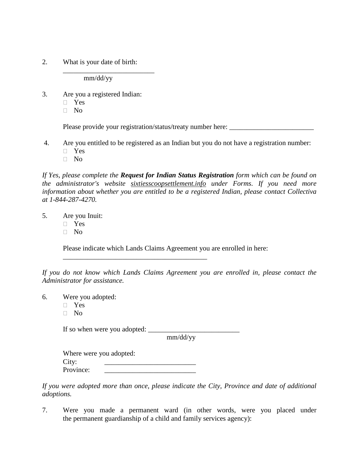2. What is your date of birth:

mm/dd/yy

\_\_\_\_\_\_\_\_\_\_\_\_\_\_\_\_\_\_\_\_\_\_\_\_\_\_

- 3. Are you a registered Indian:
	- Yes
	- $\neg$  No

Please provide your registration/status/treaty number here:

- 4. Are you entitled to be registered as an Indian but you do not have a registration number: Yes
	- $\neg$  No

*If Yes, please complete the Request for Indian Status Registration form which can be found on the administrator's website sixtiesscoopsettlement.info under Forms. If you need more information about whether you are entitled to be a registered Indian, please contact Collectiva at 1-844-287-4270.*

#### 5. Are you Inuit:

- Yes
- $\Box$  No

Please indicate which Lands Claims Agreement you are enrolled in here:

*If you do not know which Lands Claims Agreement you are enrolled in, please contact the Administrator for assistance.*

- 6. Were you adopted:
	- Yes
	- $\neg$  No

If so when were you adopted: \_\_\_\_\_\_\_\_\_\_\_\_\_\_\_\_\_\_\_\_\_\_\_\_\_\_

mm/dd/yy

Where were you adopted: City: \_\_\_\_\_\_\_\_\_\_\_\_\_\_\_\_\_\_\_\_\_\_\_\_\_\_ Province:

\_\_\_\_\_\_\_\_\_\_\_\_\_\_\_\_\_\_\_\_\_\_\_\_\_\_\_\_\_\_\_\_\_\_\_\_\_\_\_\_\_

*If you were adopted more than once, please indicate the City, Province and date of additional adoptions.*

7. Were you made a permanent ward (in other words, were you placed under the permanent guardianship of a child and family services agency):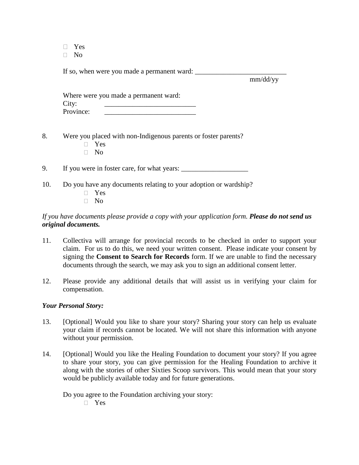Yes

 $\Box$  No

If so, when were you made a permanent ward:

mm/dd/yy

|           | Where were you made a permanent ward: |
|-----------|---------------------------------------|
| City:     |                                       |
| Province: |                                       |

8. Were you placed with non-Indigenous parents or foster parents?

- Yes
- $\neg$  No

9. If you were in foster care, for what years:

- 10. Do you have any documents relating to your adoption or wardship?
	- Yes
	- $\neg$  No

# *If you have documents please provide a copy with your application form. Please do not send us original documents.*

- 11. Collectiva will arrange for provincial records to be checked in order to support your claim. For us to do this, we need your written consent. Please indicate your consent by signing the **Consent to Search for Records** form. If we are unable to find the necessary documents through the search, we may ask you to sign an additional consent letter.
- 12. Please provide any additional details that will assist us in verifying your claim for compensation.

#### *Your Personal Story:*

- 13. [Optional] Would you like to share your story? Sharing your story can help us evaluate your claim if records cannot be located. We will not share this information with anyone without your permission.
- 14. [Optional] Would you like the Healing Foundation to document your story? If you agree to share your story, you can give permission for the Healing Foundation to archive it along with the stories of other Sixties Scoop survivors. This would mean that your story would be publicly available today and for future generations.

Do you agree to the Foundation archiving your story:

Yes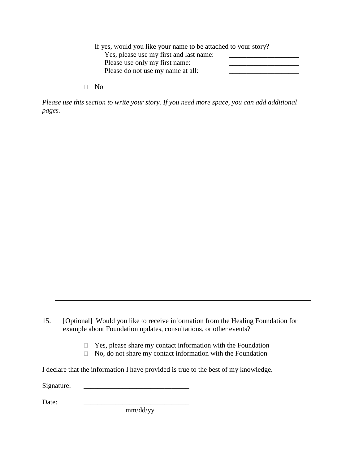| If yes, would you like your name to be attached to your story? |  |
|----------------------------------------------------------------|--|
| Yes, please use my first and last name:                        |  |
| Please use only my first name:                                 |  |
| Please do not use my name at all:                              |  |
|                                                                |  |

No

*Please use this section to write your story. If you need more space, you can add additional pages.*

15. [Optional] Would you like to receive information from the Healing Foundation for example about Foundation updates, consultations, or other events?

- $\Box$  Yes, please share my contact information with the Foundation
- $\Box$  No, do not share my contact information with the Foundation

I declare that the information I have provided is true to the best of my knowledge.

Signature: \_\_\_\_\_\_\_\_\_\_\_\_\_\_\_\_\_\_\_\_\_\_\_\_\_\_\_\_\_\_

Date: \_\_\_\_\_\_\_\_\_\_\_\_\_\_\_\_\_\_\_\_\_\_\_\_\_\_\_\_\_\_

mm/dd/yy